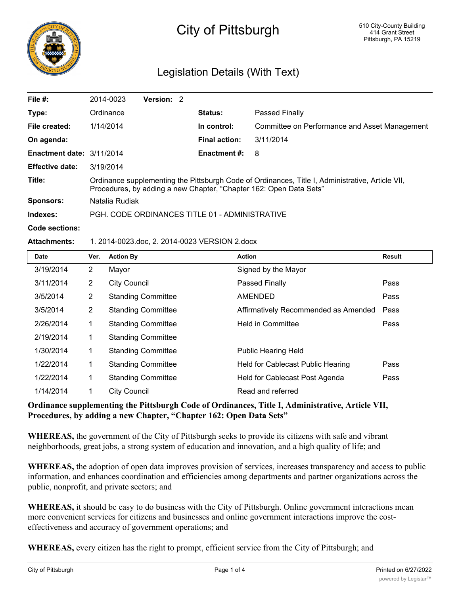

# City of Pittsburgh

# Legislation Details (With Text)

| File $#$ :                | 2014-0023                                                                                                                                                              | Version: 2 |  |                      |                                               |  |  |
|---------------------------|------------------------------------------------------------------------------------------------------------------------------------------------------------------------|------------|--|----------------------|-----------------------------------------------|--|--|
| Type:                     | Ordinance                                                                                                                                                              |            |  | <b>Status:</b>       | Passed Finally                                |  |  |
| File created:             | 1/14/2014                                                                                                                                                              |            |  | In control:          | Committee on Performance and Asset Management |  |  |
| On agenda:                |                                                                                                                                                                        |            |  | <b>Final action:</b> | 3/11/2014                                     |  |  |
| Enactment date: 3/11/2014 |                                                                                                                                                                        |            |  | <b>Enactment #:</b>  | 8                                             |  |  |
| <b>Effective date:</b>    | 3/19/2014                                                                                                                                                              |            |  |                      |                                               |  |  |
| Title:                    | Ordinance supplementing the Pittsburgh Code of Ordinances, Title I, Administrative, Article VII,<br>Procedures, by adding a new Chapter, "Chapter 162: Open Data Sets" |            |  |                      |                                               |  |  |
| <b>Sponsors:</b>          | Natalia Rudiak                                                                                                                                                         |            |  |                      |                                               |  |  |
| Indexes:                  | PGH, CODE ORDINANCES TITLE 01 - ADMINISTRATIVE                                                                                                                         |            |  |                      |                                               |  |  |
| Code sections:            |                                                                                                                                                                        |            |  |                      |                                               |  |  |

#### **Attachments:** 1. 2014-0023.doc, 2. 2014-0023 VERSION 2.docx

| <b>Date</b> | Ver.           | <b>Action By</b>          | <b>Action</b>                        | <b>Result</b> |
|-------------|----------------|---------------------------|--------------------------------------|---------------|
| 3/19/2014   | $\overline{2}$ | Mayor                     | Signed by the Mayor                  |               |
| 3/11/2014   | $\overline{2}$ | <b>City Council</b>       | Passed Finally                       | Pass          |
| 3/5/2014    | $\overline{2}$ | <b>Standing Committee</b> | <b>AMENDED</b>                       | Pass          |
| 3/5/2014    | $\overline{2}$ | <b>Standing Committee</b> | Affirmatively Recommended as Amended | Pass          |
| 2/26/2014   | 1              | <b>Standing Committee</b> | <b>Held in Committee</b>             | Pass          |
| 2/19/2014   | 1              | <b>Standing Committee</b> |                                      |               |
| 1/30/2014   | 1.             | <b>Standing Committee</b> | <b>Public Hearing Held</b>           |               |
| 1/22/2014   | 1              | <b>Standing Committee</b> | Held for Cablecast Public Hearing    | Pass          |
| 1/22/2014   | 1              | <b>Standing Committee</b> | Held for Cablecast Post Agenda       | Pass          |
| 1/14/2014   | 1              | <b>City Council</b>       | Read and referred                    |               |

#### **Ordinance supplementing the Pittsburgh Code of Ordinances, Title I, Administrative, Article VII, Procedures, by adding a new Chapter, "Chapter 162: Open Data Sets"**

**WHEREAS,** the government of the City of Pittsburgh seeks to provide its citizens with safe and vibrant neighborhoods, great jobs, a strong system of education and innovation, and a high quality of life; and

**WHEREAS,** the adoption of open data improves provision of services, increases transparency and access to public information, and enhances coordination and efficiencies among departments and partner organizations across the public, nonprofit, and private sectors; and

**WHEREAS,** it should be easy to do business with the City of Pittsburgh. Online government interactions mean more convenient services for citizens and businesses and online government interactions improve the costeffectiveness and accuracy of government operations; and

**WHEREAS,** every citizen has the right to prompt, efficient service from the City of Pittsburgh; and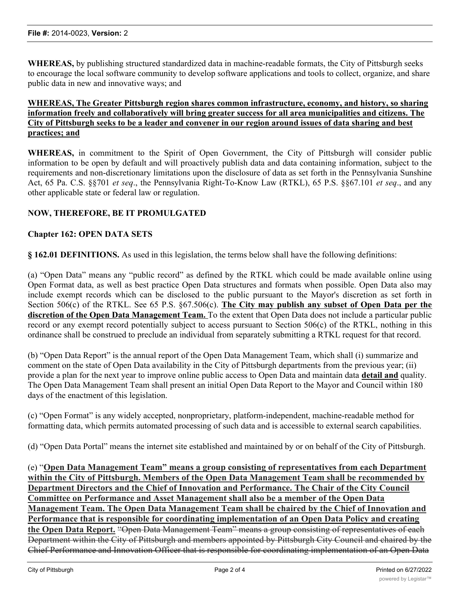**WHEREAS,** by publishing structured standardized data in machine-readable formats, the City of Pittsburgh seeks to encourage the local software community to develop software applications and tools to collect, organize, and share public data in new and innovative ways; and

#### **WHEREAS, The Greater Pittsburgh region shares common infrastructure, economy, and history, so sharing information freely and collaboratively will bring greater success for all area municipalities and citizens. The City of Pittsburgh seeks to be a leader and convener in our region around issues of data sharing and best practices; and**

**WHEREAS,** in commitment to the Spirit of Open Government, the City of Pittsburgh will consider public information to be open by default and will proactively publish data and data containing information, subject to the requirements and non-discretionary limitations upon the disclosure of data as set forth in the Pennsylvania Sunshine Act, 65 Pa. C.S. §§701 *et seq*., the Pennsylvania Right-To-Know Law (RTKL), 65 P.S. §§67.101 *et seq*., and any other applicable state or federal law or regulation.

### **NOW, THEREFORE, BE IT PROMULGATED**

#### **Chapter 162: OPEN DATA SETS**

**§ 162.01 DEFINITIONS.** As used in this legislation, the terms below shall have the following definitions:

(a) "Open Data" means any "public record" as defined by the RTKL which could be made available online using Open Format data, as well as best practice Open Data structures and formats when possible. Open Data also may include exempt records which can be disclosed to the public pursuant to the Mayor's discretion as set forth in Section 506(c) of the RTKL. See 65 P.S. §67.506(c). **The City may publish any subset of Open Data per the discretion of the Open Data Management Team.** To the extent that Open Data does not include a particular public record or any exempt record potentially subject to access pursuant to Section 506(c) of the RTKL, nothing in this ordinance shall be construed to preclude an individual from separately submitting a RTKL request for that record.

(b) "Open Data Report" is the annual report of the Open Data Management Team, which shall (i) summarize and comment on the state of Open Data availability in the City of Pittsburgh departments from the previous year; (ii) provide a plan for the next year to improve online public access to Open Data and maintain data **detail and** quality. The Open Data Management Team shall present an initial Open Data Report to the Mayor and Council within 180 days of the enactment of this legislation.

(c) "Open Format" is any widely accepted, nonproprietary, platform-independent, machine-readable method for formatting data, which permits automated processing of such data and is accessible to external search capabilities.

(d) "Open Data Portal" means the internet site established and maintained by or on behalf of the City of Pittsburgh.

(e) "**Open Data Management Team" means a group consisting of representatives from each Department within the City of Pittsburgh. Members of the Open Data Management Team shall be recommended by Department Directors and the Chief of Innovation and Performance. The Chair of the City Council Committee on Performance and Asset Management shall also be a member of the Open Data Management Team. The Open Data Management Team shall be chaired by the Chief of Innovation and Performance that is responsible for coordinating implementation of an Open Data Policy and creating the Open Data Report.** "Open Data Management Team" means a group consisting of representatives of each Department within the City of Pittsburgh and members appointed by Pittsburgh City Council and chaired by the Chief Performance and Innovation Officer that is responsible for coordinating implementation of an Open Data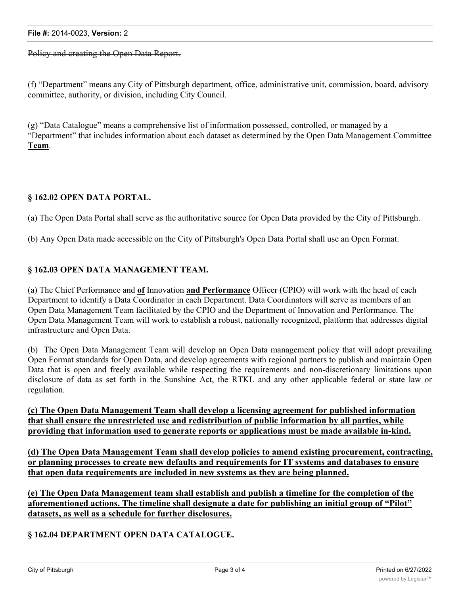#### **File #:** 2014-0023, **Version:** 2

Policy and creating the Open Data Report.

(f) "Department" means any City of Pittsburgh department, office, administrative unit, commission, board, advisory committee, authority, or division, including City Council.

(g) "Data Catalogue" means a comprehensive list of information possessed, controlled, or managed by a "Department" that includes information about each dataset as determined by the Open Data Management Committee **Team**.

#### **§ 162.02 OPEN DATA PORTAL.**

(a) The Open Data Portal shall serve as the authoritative source for Open Data provided by the City of Pittsburgh.

(b) Any Open Data made accessible on the City of Pittsburgh's Open Data Portal shall use an Open Format.

#### **§ 162.03 OPEN DATA MANAGEMENT TEAM.**

(a) The Chief Performance and **of** Innovation **and Performance** Officer (CPIO) will work with the head of each Department to identify a Data Coordinator in each Department. Data Coordinators will serve as members of an Open Data Management Team facilitated by the CPIO and the Department of Innovation and Performance. The Open Data Management Team will work to establish a robust, nationally recognized, platform that addresses digital infrastructure and Open Data.

(b) The Open Data Management Team will develop an Open Data management policy that will adopt prevailing Open Format standards for Open Data, and develop agreements with regional partners to publish and maintain Open Data that is open and freely available while respecting the requirements and non-discretionary limitations upon disclosure of data as set forth in the Sunshine Act, the RTKL and any other applicable federal or state law or regulation.

**(c) The Open Data Management Team shall develop a licensing agreement for published information that shall ensure the unrestricted use and redistribution of public information by all parties, while providing that information used to generate reports or applications must be made available in-kind.**

**(d) The Open Data Management Team shall develop policies to amend existing procurement, contracting, or planning processes to create new defaults and requirements for IT systems and databases to ensure that open data requirements are included in new systems as they are being planned.**

**(e) The Open Data Management team shall establish and publish a timeline for the completion of the aforementioned actions. The timeline shall designate a date for publishing an initial group of "Pilot" datasets, as well as a schedule for further disclosures.**

**§ 162.04 DEPARTMENT OPEN DATA CATALOGUE.**